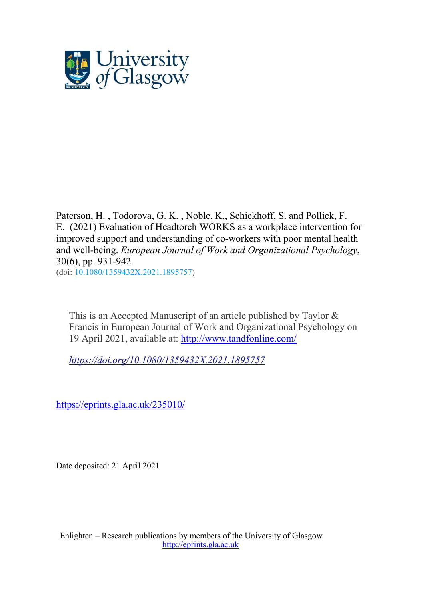

[Paterson,](http://eprints.gla.ac.uk/view/author/6095.html) H. , [Todorova,](http://eprints.gla.ac.uk/view/author/39032.html) G. K. , [Noble,](http://eprints.gla.ac.uk/view/author/23319.html) K., Schickhoff, S. and [Pollick,](http://eprints.gla.ac.uk/view/author/5312.html) F. [E.](http://eprints.gla.ac.uk/view/author/5312.html) (2021) Evaluation of Headtorch WORKS as a workplace intervention for improved support and understanding of co-workers with poor mental health and well-being. *European Journal of Work and [Organizational](http://eprints.gla.ac.uk/view/journal_volume/European_Journal_of_Work_and_Organizational_Psychology.html) Psychology*, 30(6), pp. 931-942. (doi: [10.1080/1359432X.2021.1895757\)](http://dx.doi.org/10.1080/1359432X.2021.1895757)

This is an Accepted Manuscript of an article published by Taylor & Francis in European Journal of Work and Organizational Psychology on 19 April 2021, available at:<http://www.tandfonline.com/>

*<https://doi.org/10.1080/1359432X.2021.1895757>*

https://eprints.gla.ac.uk/235010/

Date deposited: 21 April 2021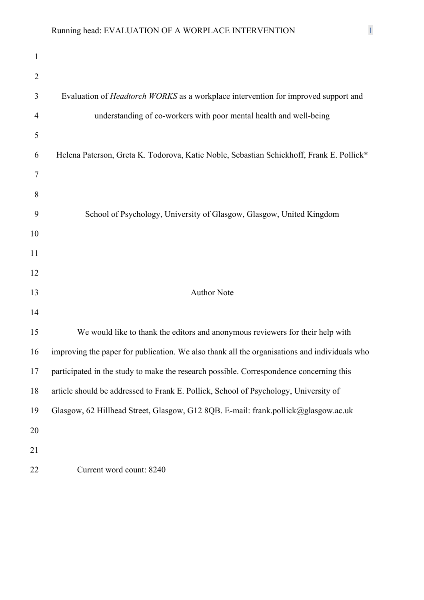| $\mathbf{1}$   |                                                                                              |
|----------------|----------------------------------------------------------------------------------------------|
| $\overline{2}$ |                                                                                              |
| 3              | Evaluation of <i>Headtorch WORKS</i> as a workplace intervention for improved support and    |
| 4              | understanding of co-workers with poor mental health and well-being                           |
| 5              |                                                                                              |
| 6              | Helena Paterson, Greta K. Todorova, Katie Noble, Sebastian Schickhoff, Frank E. Pollick*     |
| 7              |                                                                                              |
| 8              |                                                                                              |
| 9              | School of Psychology, University of Glasgow, Glasgow, United Kingdom                         |
| 10             |                                                                                              |
| 11             |                                                                                              |
| 12             |                                                                                              |
| 13             | <b>Author Note</b>                                                                           |
| 14             |                                                                                              |
| 15             | We would like to thank the editors and anonymous reviewers for their help with               |
| 16             | improving the paper for publication. We also thank all the organisations and individuals who |
| 17             | participated in the study to make the research possible. Correspondence concerning this      |
| 18             | article should be addressed to Frank E. Pollick, School of Psychology, University of         |
| 19             | Glasgow, 62 Hillhead Street, Glasgow, G12 8QB. E-mail: frank.pollick@glasgow.ac.uk           |
| 20             |                                                                                              |
| 21             |                                                                                              |
| 22             | Current word count: 8240                                                                     |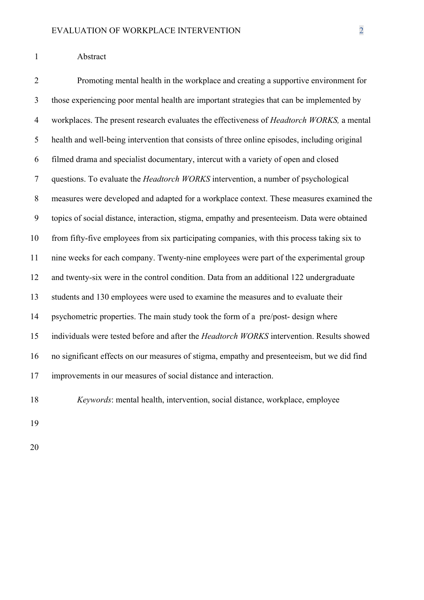#### Abstract

 Promoting mental health in the workplace and creating a supportive environment for those experiencing poor mental health are important strategies that can be implemented by workplaces. The present research evaluates the effectiveness of *Headtorch WORKS,* a mental health and well-being intervention that consists of three online episodes, including original filmed drama and specialist documentary, intercut with a variety of open and closed questions. To evaluate the *Headtorch WORKS* intervention, a number of psychological measures were developed and adapted for a workplace context. These measures examined the topics of social distance, interaction, stigma, empathy and presenteeism. Data were obtained from fifty-five employees from six participating companies, with this process taking six to nine weeks for each company. Twenty-nine employees were part of the experimental group and twenty-six were in the control condition. Data from an additional 122 undergraduate students and 130 employees were used to examine the measures and to evaluate their psychometric properties. The main study took the form of a pre/post- design where individuals were tested before and after the *Headtorch WORKS* intervention. Results showed no significant effects on our measures of stigma, empathy and presenteeism, but we did find improvements in our measures of social distance and interaction.

*Keywords*: mental health, intervention, social distance, workplace, employee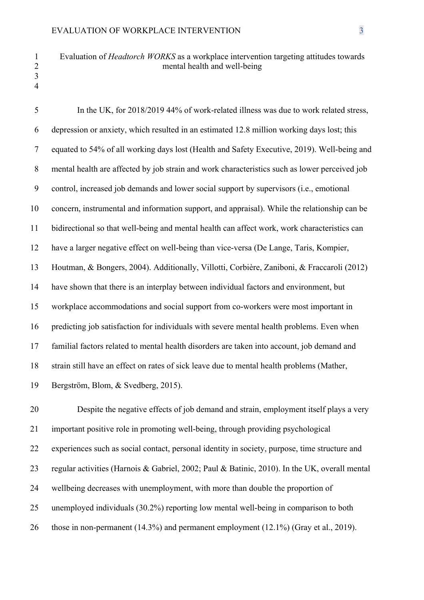## Evaluation of *Headtorch WORKS* as a workplace intervention targeting attitudes towards mental health and well-being

 

 In the UK, for 2018/2019 44% of work-related illness was due to work related stress, depression or anxiety, which resulted in an estimated 12.8 million working days lost; this equated to 54% of all working days lost (Health and Safety Executive, 2019). Well-being and mental health are affected by job strain and work characteristics such as lower perceived job control, increased job demands and lower social support by supervisors (i.e., emotional concern, instrumental and information support, and appraisal). While the relationship can be bidirectional so that well-being and mental health can affect work, work characteristics can have a larger negative effect on well-being than vice-versa (De Lange, Taris, Kompier, Houtman, & Bongers, 2004). Additionally, Villotti, Corbière, Zaniboni, & Fraccaroli (2012) have shown that there is an interplay between individual factors and environment, but workplace accommodations and social support from co-workers were most important in predicting job satisfaction for individuals with severe mental health problems. Even when familial factors related to mental health disorders are taken into account, job demand and strain still have an effect on rates of sick leave due to mental health problems (Mather, Bergström, Blom, & Svedberg, 2015).

 Despite the negative effects of job demand and strain, employment itself plays a very important positive role in promoting well-being, through providing psychological experiences such as social contact, personal identity in society, purpose, time structure and regular activities (Harnois & Gabriel, 2002; Paul & Batinic, 2010). In the UK, overall mental wellbeing decreases with unemployment, with more than double the proportion of unemployed individuals (30.2%) reporting low mental well-being in comparison to both 26 those in non-permanent (14.3%) and permanent employment (12.1%) (Gray et al., 2019).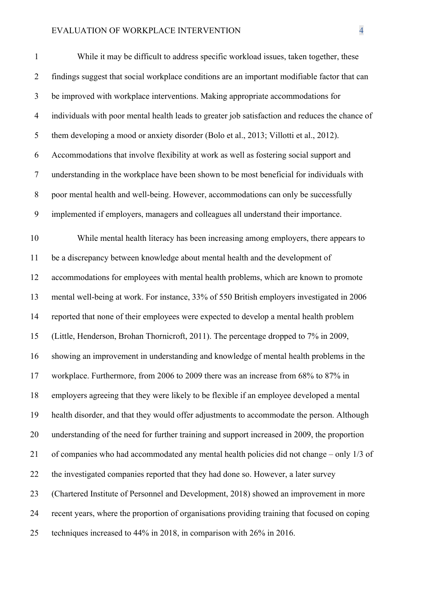| $\mathbf{1}$   | While it may be difficult to address specific workload issues, taken together, these            |
|----------------|-------------------------------------------------------------------------------------------------|
| $\overline{2}$ | findings suggest that social workplace conditions are an important modifiable factor that can   |
| 3              | be improved with workplace interventions. Making appropriate accommodations for                 |
| $\overline{4}$ | individuals with poor mental health leads to greater job satisfaction and reduces the chance of |
| 5              | them developing a mood or anxiety disorder (Bolo et al., 2013; Villotti et al., 2012).          |
| 6              | Accommodations that involve flexibility at work as well as fostering social support and         |
| $\tau$         | understanding in the workplace have been shown to be most beneficial for individuals with       |
| $8\,$          | poor mental health and well-being. However, accommodations can only be successfully             |
| 9              | implemented if employers, managers and colleagues all understand their importance.              |
| 10             | While mental health literacy has been increasing among employers, there appears to              |
| 11             | be a discrepancy between knowledge about mental health and the development of                   |
| 12             | accommodations for employees with mental health problems, which are known to promote            |
| 13             | mental well-being at work. For instance, 33% of 550 British employers investigated in 2006      |
| 14             | reported that none of their employees were expected to develop a mental health problem          |
| 15             | (Little, Henderson, Brohan Thornicroft, 2011). The percentage dropped to 7% in 2009,            |
| 16             | showing an improvement in understanding and knowledge of mental health problems in the          |
| 17             | workplace. Furthermore, from 2006 to 2009 there was an increase from 68% to 87% in              |
| 18             | employers agreeing that they were likely to be flexible if an employee developed a mental       |
| 19             | health disorder, and that they would offer adjustments to accommodate the person. Although      |
| 20             | understanding of the need for further training and support increased in 2009, the proportion    |
| 21             | of companies who had accommodated any mental health policies did not change - only 1/3 of       |
| 22             | the investigated companies reported that they had done so. However, a later survey              |
| 23             | (Chartered Institute of Personnel and Development, 2018) showed an improvement in more          |
| 24             | recent years, where the proportion of organisations providing training that focused on coping   |
| 25             | techniques increased to 44% in 2018, in comparison with 26% in 2016.                            |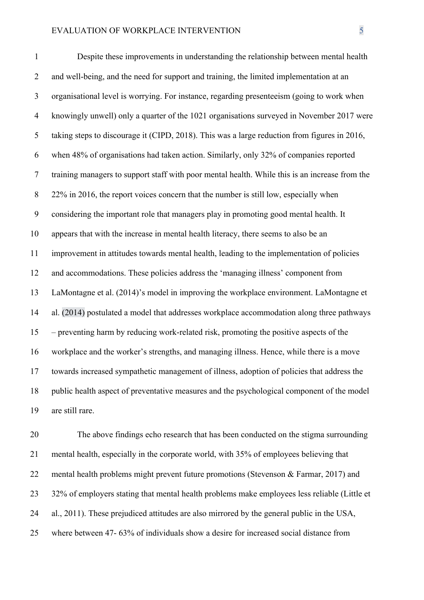Despite these improvements in understanding the relationship between mental health 2 and well-being, and the need for support and training, the limited implementation at an organisational level is worrying. For instance, regarding presenteeism (going to work when knowingly unwell) only a quarter of the 1021 organisations surveyed in November 2017 were taking steps to discourage it (CIPD, 2018). This was a large reduction from figures in 2016, when 48% of organisations had taken action. Similarly, only 32% of companies reported training managers to support staff with poor mental health. While this is an increase from the 8 22% in 2016, the report voices concern that the number is still low, especially when considering the important role that managers play in promoting good mental health. It appears that with the increase in mental health literacy, there seems to also be an improvement in attitudes towards mental health, leading to the implementation of policies and accommodations. These policies address the 'managing illness' component from LaMontagne et al. (2014)'s model in improving the workplace environment. LaMontagne et al. (2014) postulated a model that addresses workplace accommodation along three pathways – preventing harm by reducing work-related risk, promoting the positive aspects of the workplace and the worker's strengths, and managing illness. Hence, while there is a move towards increased sympathetic management of illness, adoption of policies that address the public health aspect of preventative measures and the psychological component of the model are still rare.

 The above findings echo research that has been conducted on the stigma surrounding mental health, especially in the corporate world, with 35% of employees believing that mental health problems might prevent future promotions (Stevenson & Farmar, 2017) and 32% of employers stating that mental health problems make employees less reliable (Little et al., 2011). These prejudiced attitudes are also mirrored by the general public in the USA, where between 47- 63% of individuals show a desire for increased social distance from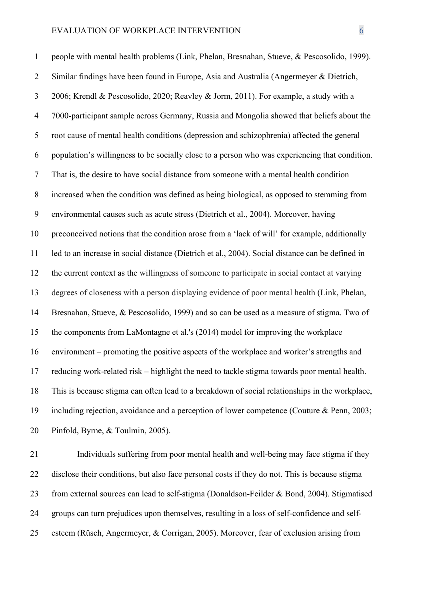people with mental health problems (Link, Phelan, Bresnahan, Stueve, & Pescosolido, 1999). Similar findings have been found in Europe, Asia and Australia (Angermeyer & Dietrich, 2006; Krendl & Pescosolido, 2020; Reavley & Jorm, 2011). For example, a study with a 7000-participant sample across Germany, Russia and Mongolia showed that beliefs about the root cause of mental health conditions (depression and schizophrenia) affected the general population's willingness to be socially close to a person who was experiencing that condition. That is, the desire to have social distance from someone with a mental health condition increased when the condition was defined as being biological, as opposed to stemming from environmental causes such as acute stress (Dietrich et al., 2004). Moreover, having preconceived notions that the condition arose from a 'lack of will' for example, additionally led to an increase in social distance (Dietrich et al., 2004). Social distance can be defined in the current context as the willingness of someone to participate in social contact at varying degrees of closeness with a person displaying evidence of poor mental health (Link, Phelan, Bresnahan, Stueve, & Pescosolido, 1999) and so can be used as a measure of stigma. Two of the components from LaMontagne et al.'s (2014) model for improving the workplace environment – promoting the positive aspects of the workplace and worker's strengths and reducing work-related risk – highlight the need to tackle stigma towards poor mental health. This is because stigma can often lead to a breakdown of social relationships in the workplace, including rejection, avoidance and a perception of lower competence (Couture & Penn, 2003; Pinfold, Byrne, & Toulmin, 2005).

 Individuals suffering from poor mental health and well-being may face stigma if they disclose their conditions, but also face personal costs if they do not. This is because stigma from external sources can lead to self-stigma (Donaldson-Feilder & Bond, 2004). Stigmatised groups can turn prejudices upon themselves, resulting in a loss of self-confidence and self-esteem (Rüsch, Angermeyer, & Corrigan, 2005). Moreover, fear of exclusion arising from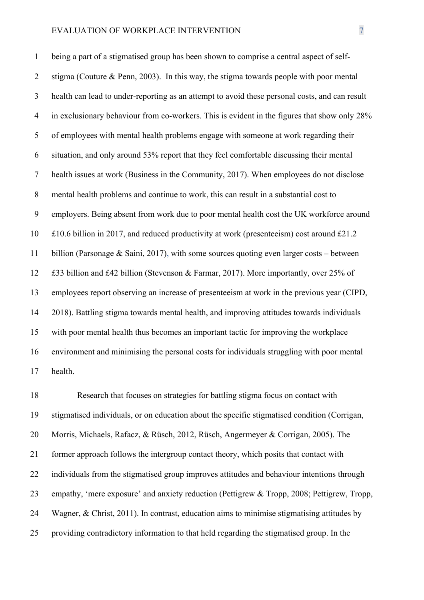being a part of a stigmatised group has been shown to comprise a central aspect of self- stigma (Couture & Penn, 2003). In this way, the stigma towards people with poor mental health can lead to under-reporting as an attempt to avoid these personal costs, and can result 4 in exclusionary behaviour from co-workers. This is evident in the figures that show only 28% of employees with mental health problems engage with someone at work regarding their situation, and only around 53% report that they feel comfortable discussing their mental health issues at work (Business in the Community, 2017). When employees do not disclose mental health problems and continue to work, this can result in a substantial cost to employers. Being absent from work due to poor mental health cost the UK workforce around £10.6 billion in 2017, and reduced productivity at work (presenteeism) cost around £21.2 billion (Parsonage & Saini, 2017), with some sources quoting even larger costs – between £33 billion and £42 billion (Stevenson & Farmar, 2017). More importantly, over 25% of employees report observing an increase of presenteeism at work in the previous year (CIPD, 2018). Battling stigma towards mental health, and improving attitudes towards individuals with poor mental health thus becomes an important tactic for improving the workplace environment and minimising the personal costs for individuals struggling with poor mental health.

 Research that focuses on strategies for battling stigma focus on contact with stigmatised individuals, or on education about the specific stigmatised condition (Corrigan, Morris, Michaels, Rafacz, & Rüsch, 2012, Rüsch, Angermeyer & Corrigan, 2005). The former approach follows the intergroup contact theory, which posits that contact with individuals from the stigmatised group improves attitudes and behaviour intentions through empathy, 'mere exposure' and anxiety reduction (Pettigrew & Tropp, 2008; Pettigrew, Tropp, Wagner, & Christ, 2011). In contrast, education aims to minimise stigmatising attitudes by providing contradictory information to that held regarding the stigmatised group. In the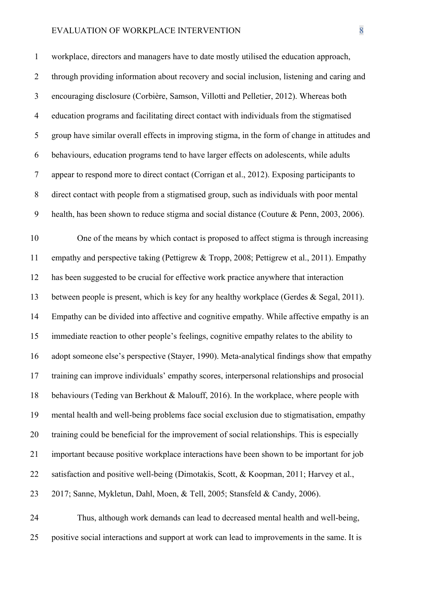workplace, directors and managers have to date mostly utilised the education approach, through providing information about recovery and social inclusion, listening and caring and encouraging disclosure (Corbière, Samson, Villotti and Pelletier, 2012). Whereas both education programs and facilitating direct contact with individuals from the stigmatised group have similar overall effects in improving stigma, in the form of change in attitudes and behaviours, education programs tend to have larger effects on adolescents, while adults appear to respond more to direct contact (Corrigan et al., 2012). Exposing participants to direct contact with people from a stigmatised group, such as individuals with poor mental health, has been shown to reduce stigma and social distance (Couture & Penn, 2003, 2006).

 One of the means by which contact is proposed to affect stigma is through increasing empathy and perspective taking (Pettigrew & Tropp, 2008; Pettigrew et al., 2011). Empathy has been suggested to be crucial for effective work practice anywhere that interaction between people is present, which is key for any healthy workplace (Gerdes & Segal, 2011). Empathy can be divided into affective and cognitive empathy. While affective empathy is an immediate reaction to other people's feelings, cognitive empathy relates to the ability to adopt someone else's perspective (Stayer, 1990). Meta-analytical findings show that empathy training can improve individuals' empathy scores, interpersonal relationships and prosocial behaviours (Teding van Berkhout & Malouff, 2016). In the workplace, where people with mental health and well-being problems face social exclusion due to stigmatisation, empathy training could be beneficial for the improvement of social relationships. This is especially important because positive workplace interactions have been shown to be important for job satisfaction and positive well-being (Dimotakis, Scott, & Koopman, 2011; Harvey et al., 2017; Sanne, Mykletun, Dahl, Moen, & Tell, 2005; Stansfeld & Candy, 2006).

 Thus, although work demands can lead to decreased mental health and well-being, positive social interactions and support at work can lead to improvements in the same. It is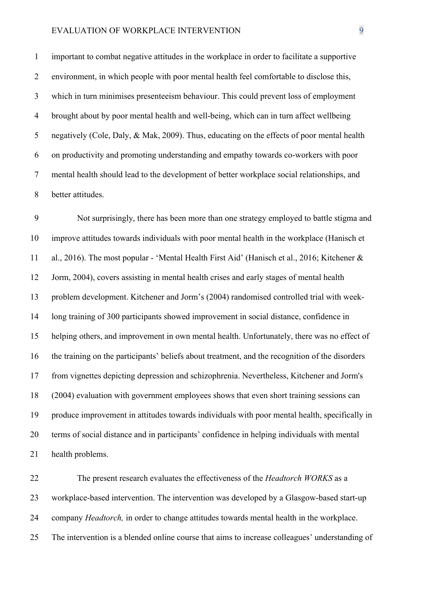important to combat negative attitudes in the workplace in order to facilitate a supportive environment, in which people with poor mental health feel comfortable to disclose this, which in turn minimises presenteeism behaviour. This could prevent loss of employment brought about by poor mental health and well-being, which can in turn affect wellbeing negatively (Cole, Daly, & Mak, 2009). Thus, educating on the effects of poor mental health on productivity and promoting understanding and empathy towards co-workers with poor mental health should lead to the development of better workplace social relationships, and better attitudes.

 Not surprisingly, there has been more than one strategy employed to battle stigma and improve attitudes towards individuals with poor mental health in the workplace (Hanisch et al., 2016). The most popular - 'Mental Health First Aid' (Hanisch et al., 2016; Kitchener & Jorm, 2004), covers assisting in mental health crises and early stages of mental health problem development. Kitchener and Jorm's (2004) randomised controlled trial with week- long training of 300 participants showed improvement in social distance, confidence in helping others, and improvement in own mental health. Unfortunately, there was no effect of the training on the participants' beliefs about treatment, and the recognition of the disorders from vignettes depicting depression and schizophrenia. Nevertheless, Kitchener and Jorm's (2004) evaluation with government employees shows that even short training sessions can produce improvement in attitudes towards individuals with poor mental health, specifically in terms of social distance and in participants' confidence in helping individuals with mental health problems.

 The present research evaluates the effectiveness of the *Headtorch WORKS* as a workplace-based intervention. The intervention was developed by a Glasgow-based start-up company *Headtorch,* in order to change attitudes towards mental health in the workplace. The intervention is a blended online course that aims to increase colleagues' understanding of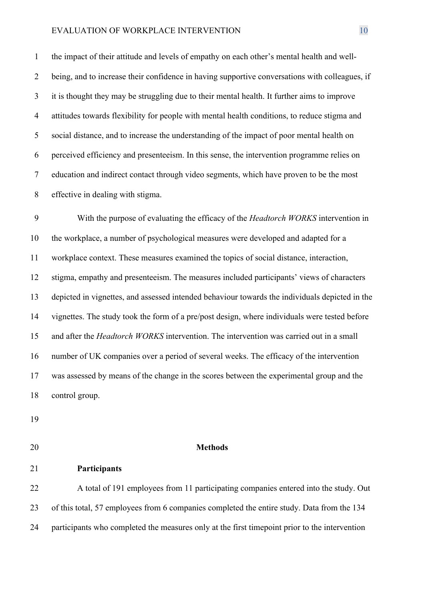the impact of their attitude and levels of empathy on each other's mental health and well- being, and to increase their confidence in having supportive conversations with colleagues, if it is thought they may be struggling due to their mental health. It further aims to improve attitudes towards flexibility for people with mental health conditions, to reduce stigma and social distance, and to increase the understanding of the impact of poor mental health on perceived efficiency and presenteeism. In this sense, the intervention programme relies on education and indirect contact through video segments, which have proven to be the most effective in dealing with stigma.

 With the purpose of evaluating the efficacy of the *Headtorch WORKS* intervention in the workplace, a number of psychological measures were developed and adapted for a workplace context. These measures examined the topics of social distance, interaction, stigma, empathy and presenteeism. The measures included participants' views of characters depicted in vignettes, and assessed intended behaviour towards the individuals depicted in the vignettes. The study took the form of a pre/post design, where individuals were tested before and after the *Headtorch WORKS* intervention. The intervention was carried out in a small number of UK companies over a period of several weeks. The efficacy of the intervention was assessed by means of the change in the scores between the experimental group and the control group.

- 
- 

#### **Methods**

**Participants** 

 A total of 191 employees from 11 participating companies entered into the study. Out of this total, 57 employees from 6 companies completed the entire study. Data from the 134 participants who completed the measures only at the first timepoint prior to the intervention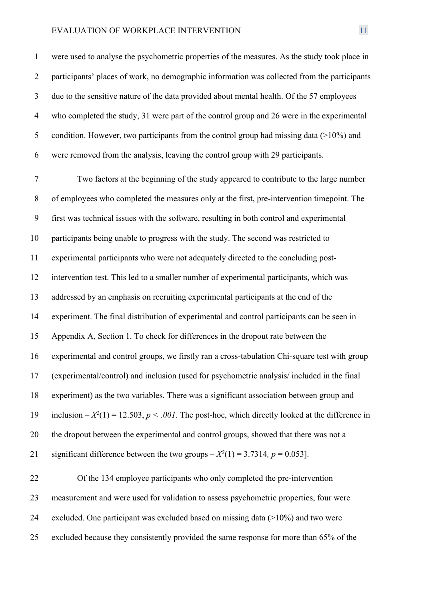were used to analyse the psychometric properties of the measures. As the study took place in 2 participants' places of work, no demographic information was collected from the participants due to the sensitive nature of the data provided about mental health. Of the 57 employees who completed the study, 31 were part of the control group and 26 were in the experimental 5 condition. However, two participants from the control group had missing data (>10%) and were removed from the analysis, leaving the control group with 29 participants.

 Two factors at the beginning of the study appeared to contribute to the large number of employees who completed the measures only at the first, pre-intervention timepoint. The first was technical issues with the software, resulting in both control and experimental participants being unable to progress with the study. The second was restricted to experimental participants who were not adequately directed to the concluding post- intervention test. This led to a smaller number of experimental participants, which was addressed by an emphasis on recruiting experimental participants at the end of the experiment. The final distribution of experimental and control participants can be seen in Appendix A, Section 1. To check for differences in the dropout rate between the experimental and control groups, we firstly ran a cross-tabulation Chi-square test with group (experimental/control) and inclusion (used for psychometric analysis/ included in the final experiment) as the two variables. There was a significant association between group and inclusion  $-X^2(1) = 12.503$ ,  $p < .001$ . The post-hoc, which directly looked at the difference in 20 the dropout between the experimental and control groups, showed that there was not a 21 significant difference between the two groups  $-X^2(1) = 3.7314$ ,  $p = 0.053$ ].

 Of the 134 employee participants who only completed the pre-intervention measurement and were used for validation to assess psychometric properties, four were excluded. One participant was excluded based on missing data (>10%) and two were excluded because they consistently provided the same response for more than 65% of the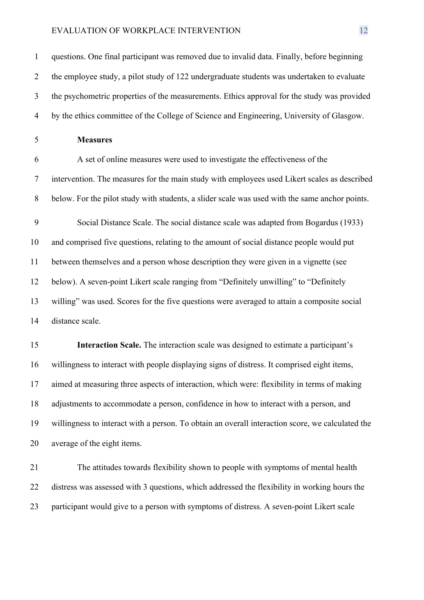questions. One final participant was removed due to invalid data. Finally, before beginning the employee study, a pilot study of 122 undergraduate students was undertaken to evaluate the psychometric properties of the measurements. Ethics approval for the study was provided by the ethics committee of the College of Science and Engineering, University of Glasgow. **Measures** A set of online measures were used to investigate the effectiveness of the intervention. The measures for the main study with employees used Likert scales as described below. For the pilot study with students, a slider scale was used with the same anchor points. Social Distance Scale. The social distance scale was adapted from Bogardus (1933) and comprised five questions, relating to the amount of social distance people would put between themselves and a person whose description they were given in a vignette (see below). A seven-point Likert scale ranging from "Definitely unwilling" to "Definitely willing" was used. Scores for the five questions were averaged to attain a composite social distance scale.

 **Interaction Scale.** The interaction scale was designed to estimate a participant's willingness to interact with people displaying signs of distress. It comprised eight items, aimed at measuring three aspects of interaction, which were: flexibility in terms of making adjustments to accommodate a person, confidence in how to interact with a person, and willingness to interact with a person. To obtain an overall interaction score, we calculated the average of the eight items.

 The attitudes towards flexibility shown to people with symptoms of mental health distress was assessed with 3 questions, which addressed the flexibility in working hours the participant would give to a person with symptoms of distress. A seven-point Likert scale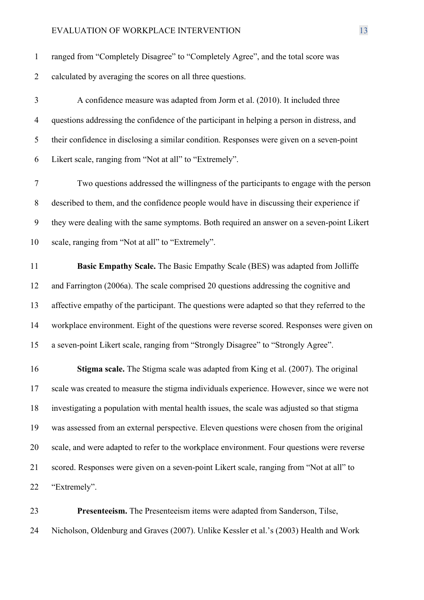| $\mathbf{1}$   | ranged from "Completely Disagree" to "Completely Agree", and the total score was              |
|----------------|-----------------------------------------------------------------------------------------------|
| $\overline{2}$ | calculated by averaging the scores on all three questions.                                    |
| 3              | A confidence measure was adapted from Jorm et al. (2010). It included three                   |
| $\overline{4}$ | questions addressing the confidence of the participant in helping a person in distress, and   |
| 5              | their confidence in disclosing a similar condition. Responses were given on a seven-point     |
| 6              | Likert scale, ranging from "Not at all" to "Extremely".                                       |
| $\tau$         | Two questions addressed the willingness of the participants to engage with the person         |
| 8              | described to them, and the confidence people would have in discussing their experience if     |
| 9              | they were dealing with the same symptoms. Both required an answer on a seven-point Likert     |
| 10             | scale, ranging from "Not at all" to "Extremely".                                              |
| 11             | Basic Empathy Scale. The Basic Empathy Scale (BES) was adapted from Jolliffe                  |
| 12             | and Farrington (2006a). The scale comprised 20 questions addressing the cognitive and         |
| 13             | affective empathy of the participant. The questions were adapted so that they referred to the |
| 14             | workplace environment. Eight of the questions were reverse scored. Responses were given on    |
| 15             | a seven-point Likert scale, ranging from "Strongly Disagree" to "Strongly Agree".             |
| 16             | <b>Stigma scale.</b> The Stigma scale was adapted from King et al. (2007). The original       |
| 17             | scale was created to measure the stigma individuals experience. However, since we were not    |
| 18             | investigating a population with mental health issues, the scale was adjusted so that stigma   |
| 19             | was assessed from an external perspective. Eleven questions were chosen from the original     |
| 20             | scale, and were adapted to refer to the workplace environment. Four questions were reverse    |
| 21             | scored. Responses were given on a seven-point Likert scale, ranging from "Not at all" to      |
| 22             | "Extremely".                                                                                  |
|                |                                                                                               |

 **Presenteeism.** The Presenteeism items were adapted from Sanderson, Tilse, Nicholson, Oldenburg and Graves (2007). Unlike Kessler et al.'s (2003) Health and Work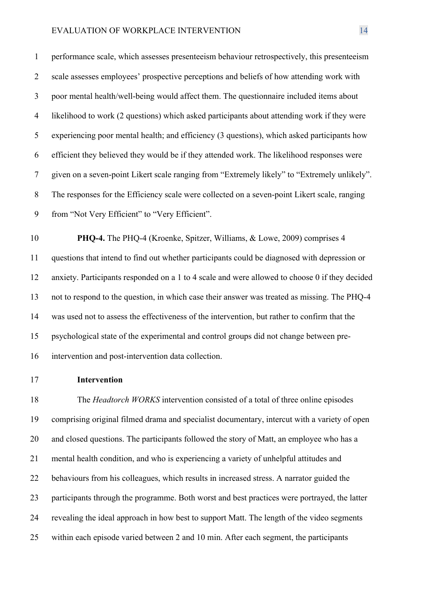performance scale, which assesses presenteeism behaviour retrospectively, this presenteeism scale assesses employees' prospective perceptions and beliefs of how attending work with poor mental health/well-being would affect them. The questionnaire included items about likelihood to work (2 questions) which asked participants about attending work if they were experiencing poor mental health; and efficiency (3 questions), which asked participants how efficient they believed they would be if they attended work. The likelihood responses were given on a seven-point Likert scale ranging from "Extremely likely" to "Extremely unlikely". The responses for the Efficiency scale were collected on a seven-point Likert scale, ranging from "Not Very Efficient" to "Very Efficient".

 **PHQ-4.** The PHQ-4 (Kroenke, Spitzer, Williams, & Lowe, 2009) comprises 4 questions that intend to find out whether participants could be diagnosed with depression or anxiety. Participants responded on a 1 to 4 scale and were allowed to choose 0 if they decided not to respond to the question, in which case their answer was treated as missing. The PHQ-4 was used not to assess the effectiveness of the intervention, but rather to confirm that the psychological state of the experimental and control groups did not change between pre-intervention and post-intervention data collection.

**Intervention** 

 The *Headtorch WORKS* intervention consisted of a total of three online episodes comprising original filmed drama and specialist documentary, intercut with a variety of open and closed questions. The participants followed the story of Matt, an employee who has a mental health condition, and who is experiencing a variety of unhelpful attitudes and behaviours from his colleagues, which results in increased stress. A narrator guided the participants through the programme. Both worst and best practices were portrayed, the latter revealing the ideal approach in how best to support Matt. The length of the video segments within each episode varied between 2 and 10 min. After each segment, the participants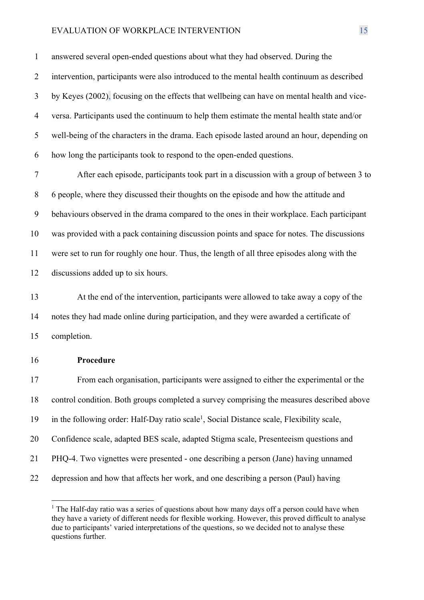answered several open-ended questions about what they had observed. During the intervention, participants were also introduced to the mental health continuum as described by Keyes (2002), focusing on the effects that wellbeing can have on mental health and vice- versa. Participants used the continuum to help them estimate the mental health state and/or well-being of the characters in the drama. Each episode lasted around an hour, depending on how long the participants took to respond to the open-ended questions.

 After each episode, participants took part in a discussion with a group of between 3 to 6 people, where they discussed their thoughts on the episode and how the attitude and behaviours observed in the drama compared to the ones in their workplace. Each participant was provided with a pack containing discussion points and space for notes. The discussions were set to run for roughly one hour. Thus, the length of all three episodes along with the discussions added up to six hours.

 At the end of the intervention, participants were allowed to take away a copy of the notes they had made online during participation, and they were awarded a certificate of completion.

#### **Procedure**

 From each organisation, participants were assigned to either the experimental or the control condition. Both groups completed a survey comprising the measures described above 19 in the following order: Half-Day ratio scale<sup>1</sup>, Social Distance scale, Flexibility scale, Confidence scale, adapted BES scale, adapted Stigma scale, Presenteeism questions and PHQ-4. Two vignettes were presented - one describing a person (Jane) having unnamed depression and how that affects her work, and one describing a person (Paul) having

 $<sup>1</sup>$  The Half-day ratio was a series of questions about how many days off a person could have when</sup> they have a variety of different needs for flexible working. However, this proved difficult to analyse due to participants' varied interpretations of the questions, so we decided not to analyse these questions further.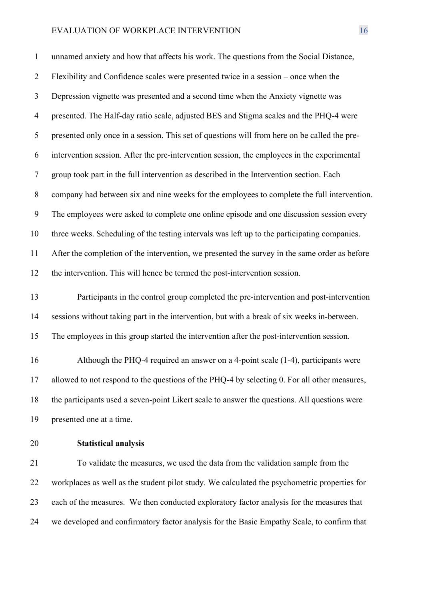unnamed anxiety and how that affects his work. The questions from the Social Distance, Flexibility and Confidence scales were presented twice in a session – once when the Depression vignette was presented and a second time when the Anxiety vignette was presented. The Half-day ratio scale, adjusted BES and Stigma scales and the PHQ-4 were presented only once in a session. This set of questions will from here on be called the pre- intervention session. After the pre-intervention session, the employees in the experimental group took part in the full intervention as described in the Intervention section. Each company had between six and nine weeks for the employees to complete the full intervention. The employees were asked to complete one online episode and one discussion session every three weeks. Scheduling of the testing intervals was left up to the participating companies. After the completion of the intervention, we presented the survey in the same order as before the intervention. This will hence be termed the post-intervention session.

 Participants in the control group completed the pre-intervention and post-intervention sessions without taking part in the intervention, but with a break of six weeks in-between. The employees in this group started the intervention after the post-intervention session.

 Although the PHQ-4 required an answer on a 4-point scale (1-4), participants were allowed to not respond to the questions of the PHQ-4 by selecting 0. For all other measures, the participants used a seven-point Likert scale to answer the questions. All questions were presented one at a time.

# **Statistical analysis**

 To validate the measures, we used the data from the validation sample from the workplaces as well as the student pilot study. We calculated the psychometric properties for each of the measures. We then conducted exploratory factor analysis for the measures that we developed and confirmatory factor analysis for the Basic Empathy Scale, to confirm that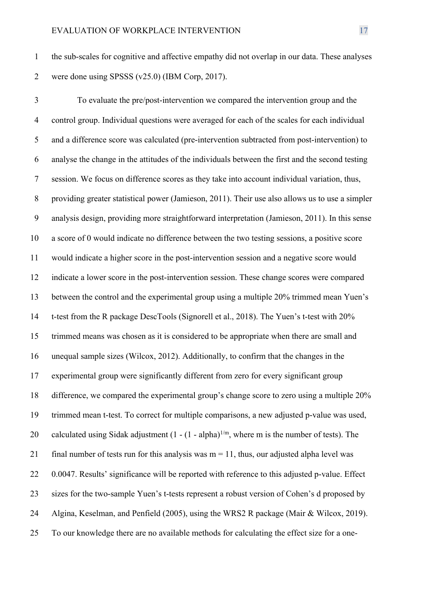the sub-scales for cognitive and affective empathy did not overlap in our data. These analyses were done using SPSSS (v25.0) (IBM Corp, 2017).

 To evaluate the pre/post-intervention we compared the intervention group and the control group. Individual questions were averaged for each of the scales for each individual and a difference score was calculated (pre-intervention subtracted from post-intervention) to analyse the change in the attitudes of the individuals between the first and the second testing session. We focus on difference scores as they take into account individual variation, thus, providing greater statistical power (Jamieson, 2011). Their use also allows us to use a simpler analysis design, providing more straightforward interpretation (Jamieson, 2011). In this sense a score of 0 would indicate no difference between the two testing sessions, a positive score would indicate a higher score in the post-intervention session and a negative score would indicate a lower score in the post-intervention session. These change scores were compared between the control and the experimental group using a multiple 20% trimmed mean Yuen's t-test from the R package DescTools (Signorell et al., 2018). The Yuen's t-test with 20% trimmed means was chosen as it is considered to be appropriate when there are small and unequal sample sizes (Wilcox, 2012). Additionally, to confirm that the changes in the experimental group were significantly different from zero for every significant group difference, we compared the experimental group's change score to zero using a multiple 20% trimmed mean t-test. To correct for multiple comparisons, a new adjusted p-value was used, 20 calculated using Sidak adjustment  $(1 - (1 - \alpha)$  alpha)<sup>1/m</sup>, where m is the number of tests). The 21 final number of tests run for this analysis was  $m = 11$ , thus, our adjusted alpha level was 22 0.0047. Results' significance will be reported with reference to this adjusted p-value. Effect sizes for the two-sample Yuen's t-tests represent a robust version of Cohen's d proposed by Algina, Keselman, and Penfield (2005), using the WRS2 R package (Mair & Wilcox, 2019). To our knowledge there are no available methods for calculating the effect size for a one-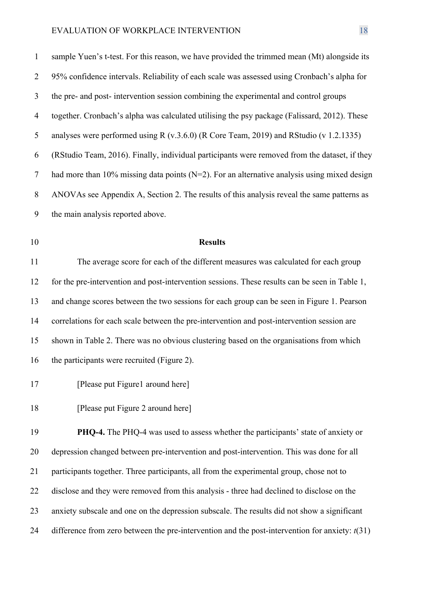| $\mathbf{1}$ | sample Yuen's t-test. For this reason, we have provided the trimmed mean (Mt) alongside its     |
|--------------|-------------------------------------------------------------------------------------------------|
| 2            | 95% confidence intervals. Reliability of each scale was assessed using Cronbach's alpha for     |
| 3            | the pre- and post- intervention session combining the experimental and control groups           |
| 4            | together. Cronbach's alpha was calculated utilising the psy package (Falissard, 2012). These    |
| 5            | analyses were performed using R (v.3.6.0) (R Core Team, 2019) and RStudio (v 1.2.1335)          |
| 6            | (RStudio Team, 2016). Finally, individual participants were removed from the dataset, if they   |
| $\tau$       | had more than 10% missing data points ( $N=2$ ). For an alternative analysis using mixed design |
| 8            | ANOVAs see Appendix A, Section 2. The results of this analysis reveal the same patterns as      |
| 9            | the main analysis reported above.                                                               |

# **Results**

 The average score for each of the different measures was calculated for each group for the pre-intervention and post-intervention sessions. These results can be seen in Table 1, and change scores between the two sessions for each group can be seen in Figure 1. Pearson correlations for each scale between the pre-intervention and post-intervention session are shown in Table 2. There was no obvious clustering based on the organisations from which 16 the participants were recruited (Figure 2).

17 [Please put Figure1 around here]

18 [Please put Figure 2 around here]

 **PHQ-4.** The PHQ-4 was used to assess whether the participants' state of anxiety or depression changed between pre-intervention and post-intervention. This was done for all participants together. Three participants, all from the experimental group, chose not to disclose and they were removed from this analysis - three had declined to disclose on the anxiety subscale and one on the depression subscale. The results did not show a significant difference from zero between the pre-intervention and the post-intervention for anxiety: *t*(31)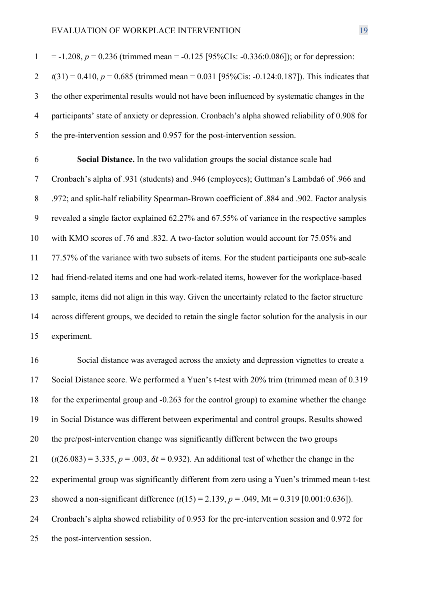$1 = -1.208$ ,  $p = 0.236$  (trimmed mean =  $-0.125$  [95%CIs:  $-0.336$ :0.086]); or for depression:  $t(31) = 0.410$ ,  $p = 0.685$  (trimmed mean = 0.031 [95%Cis: -0.124:0.187]). This indicates that the other experimental results would not have been influenced by systematic changes in the participants' state of anxiety or depression. Cronbach's alpha showed reliability of 0.908 for the pre-intervention session and 0.957 for the post-intervention session.

 **Social Distance.** In the two validation groups the social distance scale had Cronbach's alpha of .931 (students) and .946 (employees); Guttman's Lambda6 of .966 and .972; and split-half reliability Spearman-Brown coefficient of .884 and .902. Factor analysis revealed a single factor explained 62.27% and 67.55% of variance in the respective samples with KMO scores of .76 and .832. A two-factor solution would account for 75.05% and 77.57% of the variance with two subsets of items. For the student participants one sub-scale had friend-related items and one had work-related items, however for the workplace-based sample, items did not align in this way. Given the uncertainty related to the factor structure across different groups, we decided to retain the single factor solution for the analysis in our experiment.

 Social distance was averaged across the anxiety and depression vignettes to create a Social Distance score. We performed a Yuen's t-test with 20% trim (trimmed mean of 0.319 for the experimental group and -0.263 for the control group) to examine whether the change in Social Distance was different between experimental and control groups. Results showed the pre/post-intervention change was significantly different between the two groups (*t*(26.083) = 3.335, *p* = .003, *δt* = 0.932). An additional test of whether the change in the experimental group was significantly different from zero using a Yuen's trimmed mean t-test showed a non-significant difference (*t*(15) = 2.139, *p* = .049, Mt = 0.319 [0.001:0.636]). Cronbach's alpha showed reliability of 0.953 for the pre-intervention session and 0.972 for the post-intervention session.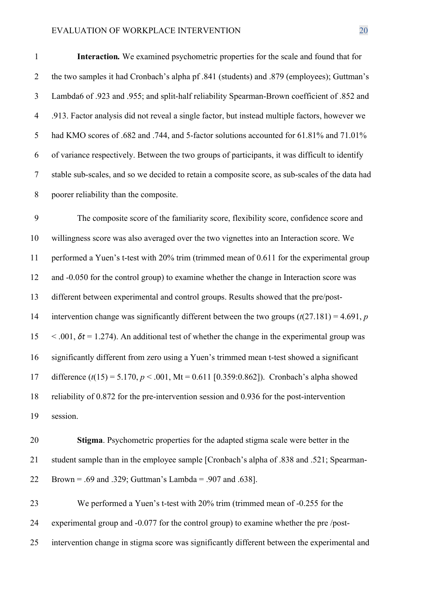**Interaction***.* We examined psychometric properties for the scale and found that for the two samples it had Cronbach's alpha pf .841 (students) and .879 (employees); Guttman's Lambda6 of .923 and .955; and split-half reliability Spearman-Brown coefficient of .852 and .913. Factor analysis did not reveal a single factor, but instead multiple factors, however we had KMO scores of .682 and .744, and 5-factor solutions accounted for 61.81% and 71.01% of variance respectively. Between the two groups of participants, it was difficult to identify stable sub-scales, and so we decided to retain a composite score, as sub-scales of the data had poorer reliability than the composite.

 The composite score of the familiarity score, flexibility score, confidence score and willingness score was also averaged over the two vignettes into an Interaction score. We performed a Yuen's t-test with 20% trim (trimmed mean of 0.611 for the experimental group and -0.050 for the control group) to examine whether the change in Interaction score was different between experimental and control groups. Results showed that the pre/post- intervention change was significantly different between the two groups (*t*(27.181) = 4.691, *p*  $\lt$  0.01,  $\delta t = 1.274$ ). An additional test of whether the change in the experimental group was significantly different from zero using a Yuen's trimmed mean t-test showed a significant difference (*t*(15) = 5.170, *p* < .001, Mt = 0.611 [0.359:0.862]). Cronbach's alpha showed reliability of 0.872 for the pre-intervention session and 0.936 for the post-intervention session.

 **Stigma**. Psychometric properties for the adapted stigma scale were better in the student sample than in the employee sample [Cronbach's alpha of .838 and .521; Spearman-Brown = .69 and .329; Guttman's Lambda = .907 and .638].

 We performed a Yuen's t-test with 20% trim (trimmed mean of -0.255 for the experimental group and -0.077 for the control group) to examine whether the pre /post-intervention change in stigma score was significantly different between the experimental and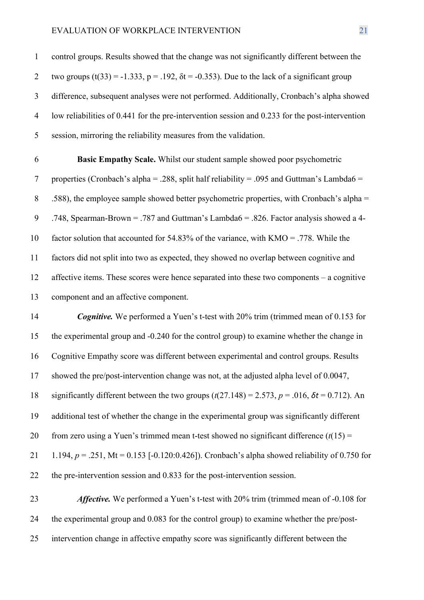control groups. Results showed that the change was not significantly different between the 2 two groups  $(t(33) = -1.333$ ,  $p = .192$ ,  $\delta t = -0.353$ ). Due to the lack of a significant group difference, subsequent analyses were not performed. Additionally, Cronbach's alpha showed low reliabilities of 0.441 for the pre-intervention session and 0.233 for the post-intervention session, mirroring the reliability measures from the validation.

 **Basic Empathy Scale.** Whilst our student sample showed poor psychometric 7 properties (Cronbach's alpha = .288, split half reliability = .095 and Guttman's Lambda6 = .588), the employee sample showed better psychometric properties, with Cronbach's alpha = .748, Spearman-Brown = .787 and Guttman's Lambda6 = .826. Factor analysis showed a 4- factor solution that accounted for 54.83% of the variance, with KMO = .778. While the factors did not split into two as expected, they showed no overlap between cognitive and affective items. These scores were hence separated into these two components – a cognitive component and an affective component.

 *Cognitive.* We performed a Yuen's t-test with 20% trim (trimmed mean of 0.153 for the experimental group and -0.240 for the control group) to examine whether the change in Cognitive Empathy score was different between experimental and control groups. Results showed the pre/post-intervention change was not, at the adjusted alpha level of 0.0047, significantly different between the two groups (*t*(27.148) = 2.573, *p* = .016, *δt* = 0.712). An additional test of whether the change in the experimental group was significantly different 20 from zero using a Yuen's trimmed mean t-test showed no significant difference  $(t(15) =$  1.194, *p* = .251, Mt = 0.153 [-0.120:0.426]). Cronbach's alpha showed reliability of 0.750 for the pre-intervention session and 0.833 for the post-intervention session.

 *Affective.* We performed a Yuen's t-test with 20% trim (trimmed mean of -0.108 for the experimental group and 0.083 for the control group) to examine whether the pre/post-intervention change in affective empathy score was significantly different between the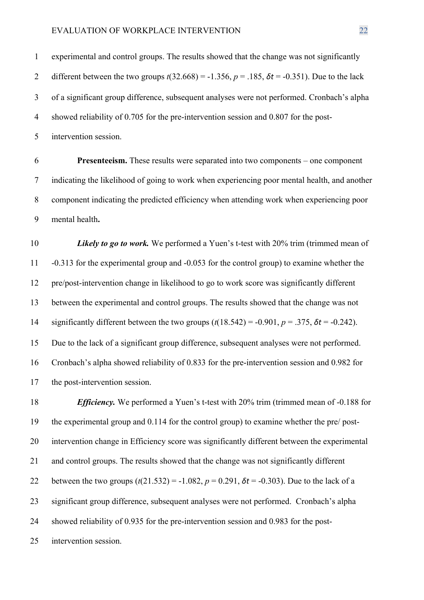experimental and control groups. The results showed that the change was not significantly different between the two groups *t*(32.668) = -1.356, *p* = .185, *δt* = -0.351). Due to the lack of a significant group difference, subsequent analyses were not performed. Cronbach's alpha showed reliability of 0.705 for the pre-intervention session and 0.807 for the post-

intervention session.

 **Presenteeism.** These results were separated into two components – one component indicating the likelihood of going to work when experiencing poor mental health, and another component indicating the predicted efficiency when attending work when experiencing poor mental health**.**

*Likely to go to work*. We performed a Yuen's t-test with 20% trim (trimmed mean of -0.313 for the experimental group and -0.053 for the control group) to examine whether the pre/post-intervention change in likelihood to go to work score was significantly different between the experimental and control groups. The results showed that the change was not significantly different between the two groups (*t*(18.542) = -0.901, *p* = .375, *δt* = -0.242). Due to the lack of a significant group difference, subsequent analyses were not performed. Cronbach's alpha showed reliability of 0.833 for the pre-intervention session and 0.982 for the post-intervention session.

 *Efficiency.* We performed a Yuen's t-test with 20% trim (trimmed mean of -0.188 for the experimental group and 0.114 for the control group) to examine whether the pre/ post- intervention change in Efficiency score was significantly different between the experimental and control groups. The results showed that the change was not significantly different 22 between the two groups  $(t(21.532) = -1.082, p = 0.291, \delta t = -0.303)$ . Due to the lack of a significant group difference, subsequent analyses were not performed. Cronbach's alpha showed reliability of 0.935 for the pre-intervention session and 0.983 for the post-intervention session.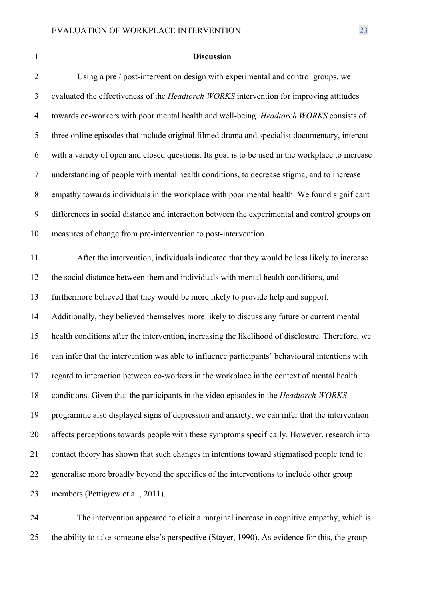#### **Discussion**

 Using a pre / post-intervention design with experimental and control groups, we evaluated the effectiveness of the *Headtorch WORKS* intervention for improving attitudes towards co-workers with poor mental health and well-being. *Headtorch WORKS* consists of three online episodes that include original filmed drama and specialist documentary, intercut with a variety of open and closed questions. Its goal is to be used in the workplace to increase understanding of people with mental health conditions, to decrease stigma, and to increase empathy towards individuals in the workplace with poor mental health. We found significant differences in social distance and interaction between the experimental and control groups on measures of change from pre-intervention to post-intervention. After the intervention, individuals indicated that they would be less likely to increase the social distance between them and individuals with mental health conditions, and furthermore believed that they would be more likely to provide help and support. Additionally, they believed themselves more likely to discuss any future or current mental health conditions after the intervention, increasing the likelihood of disclosure. Therefore, we can infer that the intervention was able to influence participants' behavioural intentions with regard to interaction between co-workers in the workplace in the context of mental health conditions. Given that the participants in the video episodes in the *Headtorch WORKS* programme also displayed signs of depression and anxiety, we can infer that the intervention affects perceptions towards people with these symptoms specifically. However, research into contact theory has shown that such changes in intentions toward stigmatised people tend to generalise more broadly beyond the specifics of the interventions to include other group members (Pettigrew et al., 2011).

 The intervention appeared to elicit a marginal increase in cognitive empathy, which is the ability to take someone else's perspective (Stayer, 1990). As evidence for this, the group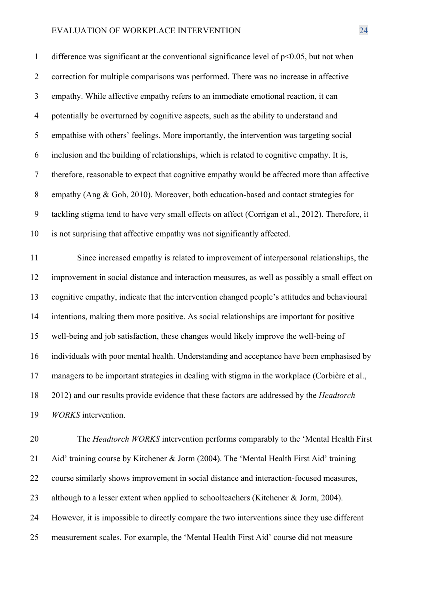1 difference was significant at the conventional significance level of  $p<0.05$ , but not when correction for multiple comparisons was performed. There was no increase in affective empathy. While affective empathy refers to an immediate emotional reaction, it can potentially be overturned by cognitive aspects, such as the ability to understand and empathise with others' feelings. More importantly, the intervention was targeting social inclusion and the building of relationships, which is related to cognitive empathy. It is, therefore, reasonable to expect that cognitive empathy would be affected more than affective empathy (Ang & Goh, 2010). Moreover, both education-based and contact strategies for tackling stigma tend to have very small effects on affect (Corrigan et al., 2012). Therefore, it is not surprising that affective empathy was not significantly affected.

 Since increased empathy is related to improvement of interpersonal relationships, the improvement in social distance and interaction measures, as well as possibly a small effect on cognitive empathy, indicate that the intervention changed people's attitudes and behavioural intentions, making them more positive. As social relationships are important for positive well-being and job satisfaction, these changes would likely improve the well-being of individuals with poor mental health. Understanding and acceptance have been emphasised by managers to be important strategies in dealing with stigma in the workplace (Corbière et al., 2012) and our results provide evidence that these factors are addressed by the *Headtorch WORKS* intervention.

 The *Headtorch WORKS* intervention performs comparably to the 'Mental Health First Aid' training course by Kitchener & Jorm (2004). The 'Mental Health First Aid' training course similarly shows improvement in social distance and interaction-focused measures, 23 although to a lesser extent when applied to schoolteachers (Kitchener & Jorm, 2004). However, it is impossible to directly compare the two interventions since they use different measurement scales. For example, the 'Mental Health First Aid' course did not measure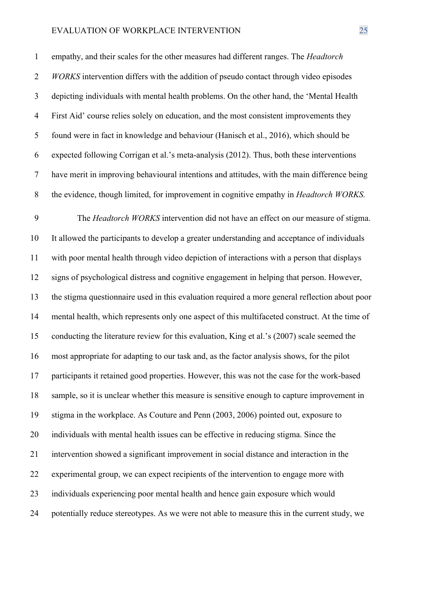empathy, and their scales for the other measures had different ranges. The *Headtorch WORKS* intervention differs with the addition of pseudo contact through video episodes depicting individuals with mental health problems. On the other hand, the 'Mental Health First Aid' course relies solely on education, and the most consistent improvements they found were in fact in knowledge and behaviour (Hanisch et al., 2016), which should be expected following Corrigan et al.'s meta-analysis (2012). Thus, both these interventions have merit in improving behavioural intentions and attitudes, with the main difference being the evidence, though limited, for improvement in cognitive empathy in *Headtorch WORKS.*

 The *Headtorch WORKS* intervention did not have an effect on our measure of stigma. It allowed the participants to develop a greater understanding and acceptance of individuals with poor mental health through video depiction of interactions with a person that displays signs of psychological distress and cognitive engagement in helping that person. However, the stigma questionnaire used in this evaluation required a more general reflection about poor mental health, which represents only one aspect of this multifaceted construct. At the time of conducting the literature review for this evaluation, King et al.'s (2007) scale seemed the most appropriate for adapting to our task and, as the factor analysis shows, for the pilot participants it retained good properties. However, this was not the case for the work-based sample, so it is unclear whether this measure is sensitive enough to capture improvement in stigma in the workplace. As Couture and Penn (2003, 2006) pointed out, exposure to individuals with mental health issues can be effective in reducing stigma. Since the intervention showed a significant improvement in social distance and interaction in the experimental group, we can expect recipients of the intervention to engage more with individuals experiencing poor mental health and hence gain exposure which would potentially reduce stereotypes. As we were not able to measure this in the current study, we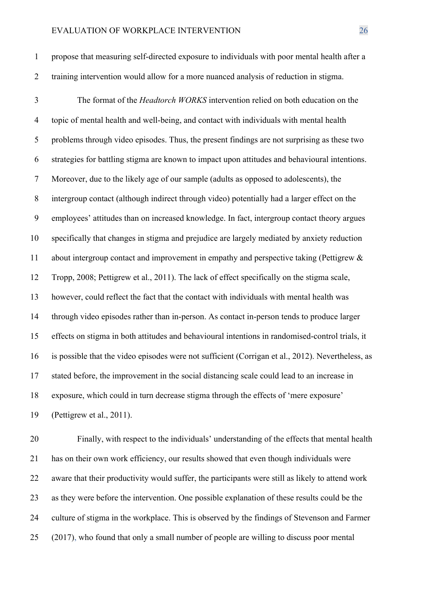propose that measuring self-directed exposure to individuals with poor mental health after a training intervention would allow for a more nuanced analysis of reduction in stigma.

 The format of the *Headtorch WORKS* intervention relied on both education on the topic of mental health and well-being, and contact with individuals with mental health problems through video episodes. Thus, the present findings are not surprising as these two strategies for battling stigma are known to impact upon attitudes and behavioural intentions. Moreover, due to the likely age of our sample (adults as opposed to adolescents), the intergroup contact (although indirect through video) potentially had a larger effect on the employees' attitudes than on increased knowledge. In fact, intergroup contact theory argues specifically that changes in stigma and prejudice are largely mediated by anxiety reduction about intergroup contact and improvement in empathy and perspective taking (Pettigrew & Tropp, 2008; Pettigrew et al., 2011). The lack of effect specifically on the stigma scale, however, could reflect the fact that the contact with individuals with mental health was through video episodes rather than in-person. As contact in-person tends to produce larger effects on stigma in both attitudes and behavioural intentions in randomised-control trials, it is possible that the video episodes were not sufficient (Corrigan et al., 2012). Nevertheless, as stated before, the improvement in the social distancing scale could lead to an increase in exposure, which could in turn decrease stigma through the effects of 'mere exposure' (Pettigrew et al., 2011).

 Finally, with respect to the individuals' understanding of the effects that mental health has on their own work efficiency, our results showed that even though individuals were aware that their productivity would suffer, the participants were still as likely to attend work as they were before the intervention. One possible explanation of these results could be the culture of stigma in the workplace. This is observed by the findings of Stevenson and Farmer (2017), who found that only a small number of people are willing to discuss poor mental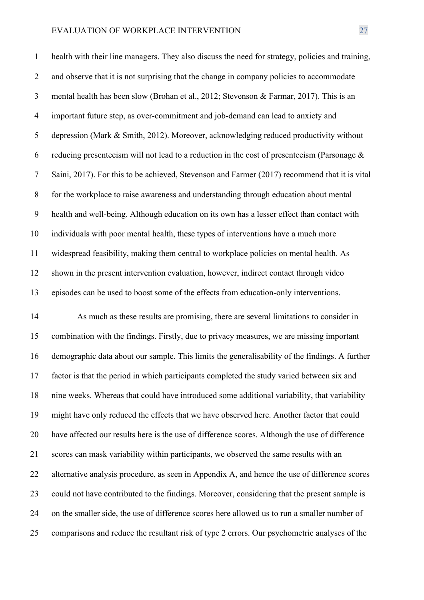health with their line managers. They also discuss the need for strategy, policies and training, and observe that it is not surprising that the change in company policies to accommodate mental health has been slow (Brohan et al., 2012; Stevenson & Farmar, 2017). This is an important future step, as over-commitment and job-demand can lead to anxiety and depression (Mark & Smith, 2012). Moreover, acknowledging reduced productivity without 6 reducing presenteeism will not lead to a reduction in the cost of presenteeism (Parsonage  $\&$  Saini, 2017). For this to be achieved, Stevenson and Farmer (2017) recommend that it is vital for the workplace to raise awareness and understanding through education about mental health and well-being. Although education on its own has a lesser effect than contact with individuals with poor mental health, these types of interventions have a much more widespread feasibility, making them central to workplace policies on mental health. As shown in the present intervention evaluation, however, indirect contact through video episodes can be used to boost some of the effects from education-only interventions.

 As much as these results are promising, there are several limitations to consider in combination with the findings. Firstly, due to privacy measures, we are missing important demographic data about our sample. This limits the generalisability of the findings. A further factor is that the period in which participants completed the study varied between six and nine weeks. Whereas that could have introduced some additional variability, that variability might have only reduced the effects that we have observed here. Another factor that could have affected our results here is the use of difference scores. Although the use of difference scores can mask variability within participants, we observed the same results with an alternative analysis procedure, as seen in Appendix A, and hence the use of difference scores could not have contributed to the findings. Moreover, considering that the present sample is on the smaller side, the use of difference scores here allowed us to run a smaller number of comparisons and reduce the resultant risk of type 2 errors. Our psychometric analyses of the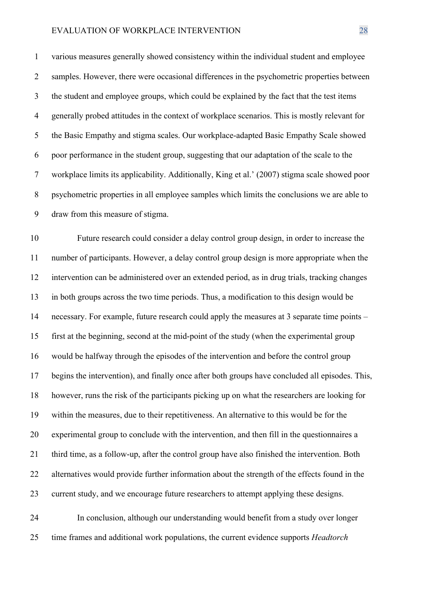various measures generally showed consistency within the individual student and employee samples. However, there were occasional differences in the psychometric properties between the student and employee groups, which could be explained by the fact that the test items generally probed attitudes in the context of workplace scenarios. This is mostly relevant for the Basic Empathy and stigma scales. Our workplace-adapted Basic Empathy Scale showed poor performance in the student group, suggesting that our adaptation of the scale to the workplace limits its applicability. Additionally, King et al.' (2007) stigma scale showed poor psychometric properties in all employee samples which limits the conclusions we are able to draw from this measure of stigma.

 Future research could consider a delay control group design, in order to increase the number of participants. However, a delay control group design is more appropriate when the intervention can be administered over an extended period, as in drug trials, tracking changes in both groups across the two time periods. Thus, a modification to this design would be necessary. For example, future research could apply the measures at 3 separate time points – first at the beginning, second at the mid-point of the study (when the experimental group would be halfway through the episodes of the intervention and before the control group begins the intervention), and finally once after both groups have concluded all episodes. This, however, runs the risk of the participants picking up on what the researchers are looking for within the measures, due to their repetitiveness. An alternative to this would be for the experimental group to conclude with the intervention, and then fill in the questionnaires a third time, as a follow-up, after the control group have also finished the intervention. Both alternatives would provide further information about the strength of the effects found in the current study, and we encourage future researchers to attempt applying these designs.

 In conclusion, although our understanding would benefit from a study over longer time frames and additional work populations, the current evidence supports *Headtorch*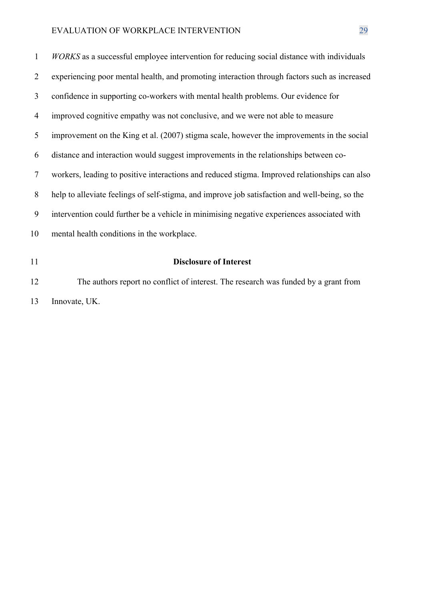| 11             | <b>Disclosure of Interest</b>                                                                  |
|----------------|------------------------------------------------------------------------------------------------|
| 10             | mental health conditions in the workplace.                                                     |
| 9              | intervention could further be a vehicle in minimising negative experiences associated with     |
| 8              | help to alleviate feelings of self-stigma, and improve job satisfaction and well-being, so the |
| $\overline{7}$ | workers, leading to positive interactions and reduced stigma. Improved relationships can also  |
| 6              | distance and interaction would suggest improvements in the relationships between co-           |
| 5              | improvement on the King et al. (2007) stigma scale, however the improvements in the social     |
| 4              | improved cognitive empathy was not conclusive, and we were not able to measure                 |
| 3              | confidence in supporting co-workers with mental health problems. Our evidence for              |
| 2              | experiencing poor mental health, and promoting interaction through factors such as increased   |
| $\mathbf{1}$   | WORKS as a successful employee intervention for reducing social distance with individuals      |

 The authors report no conflict of interest. The research was funded by a grant from Innovate, UK.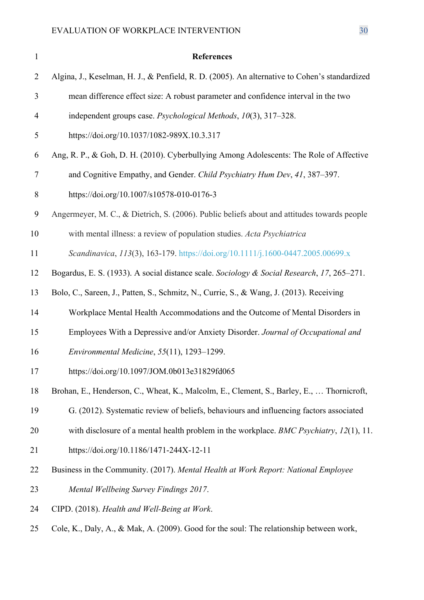| $\mathbf{1}$   | <b>References</b>                                                                             |
|----------------|-----------------------------------------------------------------------------------------------|
| $\overline{2}$ | Algina, J., Keselman, H. J., & Penfield, R. D. (2005). An alternative to Cohen's standardized |
| 3              | mean difference effect size: A robust parameter and confidence interval in the two            |
| $\overline{4}$ | independent groups case. Psychological Methods, 10(3), 317–328.                               |
| 5              | https://doi.org/10.1037/1082-989X.10.3.317                                                    |
| 6              | Ang, R. P., & Goh, D. H. (2010). Cyberbullying Among Adolescents: The Role of Affective       |
| 7              | and Cognitive Empathy, and Gender. Child Psychiatry Hum Dev, 41, 387–397.                     |
| 8              | https://doi.org/10.1007/s10578-010-0176-3                                                     |
| 9              | Angermeyer, M. C., & Dietrich, S. (2006). Public beliefs about and attitudes towards people   |
| 10             | with mental illness: a review of population studies. Acta Psychiatrica                        |
| 11             | Scandinavica, 113(3), 163-179. https://doi.org/10.1111/j.1600-0447.2005.00699.x               |
| 12             | Bogardus, E. S. (1933). A social distance scale. Sociology & Social Research, 17, 265–271.    |
| 13             | Bolo, C., Sareen, J., Patten, S., Schmitz, N., Currie, S., & Wang, J. (2013). Receiving       |
| 14             | Workplace Mental Health Accommodations and the Outcome of Mental Disorders in                 |
| 15             | Employees With a Depressive and/or Anxiety Disorder. Journal of Occupational and              |
| 16             | Environmental Medicine, $55(11)$ , $1293-1299$ .                                              |
| 17             | https://doi.org/10.1097/JOM.0b013e31829fd065                                                  |
| 18             | Brohan, E., Henderson, C., Wheat, K., Malcolm, E., Clement, S., Barley, E.,  Thornicroft,     |
| 19             | G. (2012). Systematic review of beliefs, behaviours and influencing factors associated        |
| 20             | with disclosure of a mental health problem in the workplace. BMC Psychiatry, $12(1)$ , 11.    |
| 21             | https://doi.org/10.1186/1471-244X-12-11                                                       |
| 22             | Business in the Community. (2017). Mental Health at Work Report: National Employee            |
| 23             | Mental Wellbeing Survey Findings 2017.                                                        |
| 24             | CIPD. (2018). Health and Well-Being at Work.                                                  |
| 25             | Cole, K., Daly, A., & Mak, A. (2009). Good for the soul: The relationship between work,       |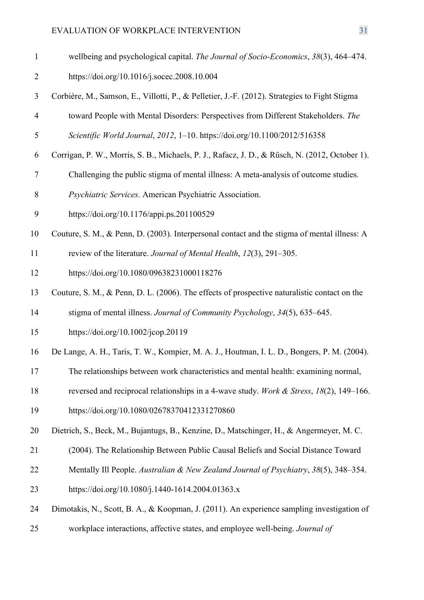- wellbeing and psychological capital. *The Journal of Socio-Economics*, *38*(3), 464–474. https://doi.org/10.1016/j.socec.2008.10.004
- Corbière, M., Samson, E., Villotti, P., & Pelletier, J.-F. (2012). Strategies to Fight Stigma
- toward People with Mental Disorders: Perspectives from Different Stakeholders. *The*
- *Scientific World Journal*, *2012*, 1–10. https://doi.org/10.1100/2012/516358
- Corrigan, P. W., Morris, S. B., Michaels, P. J., Rafacz, J. D., & Rüsch, N. (2012, October 1).
- Challenging the public stigma of mental illness: A meta-analysis of outcome studies.
- *Psychiatric Services*. American Psychiatric Association.
- https://doi.org/10.1176/appi.ps.201100529
- Couture, S. M., & Penn, D. (2003). Interpersonal contact and the stigma of mental illness: A
- review of the literature. *Journal of Mental Health*, *12*(3), 291–305.
- https://doi.org/10.1080/09638231000118276
- Couture, S. M., & Penn, D. L. (2006). The effects of prospective naturalistic contact on the
- stigma of mental illness. *Journal of Community Psychology*, *34*(5), 635–645.
- https://doi.org/10.1002/jcop.20119
- De Lange, A. H., Taris, T. W., Kompier, M. A. J., Houtman, I. L. D., Bongers, P. M. (2004).
- The relationships between work characteristics and mental health: examining normal,
- reversed and reciprocal relationships in a 4-wave study. *Work & Stress*, *18*(2), 149–166.
- https://doi.org/10.1080/02678370412331270860
- Dietrich, S., Beck, M., Bujantugs, B., Kenzine, D., Matschinger, H., & Angermeyer, M. C.
- (2004). The Relationship Between Public Causal Beliefs and Social Distance Toward
- Mentally Ill People. *Australian & New Zealand Journal of Psychiatry*, *38*(5), 348–354.
- https://doi.org/10.1080/j.1440-1614.2004.01363.x
- Dimotakis, N., Scott, B. A., & Koopman, J. (2011). An experience sampling investigation of
- workplace interactions, affective states, and employee well-being. *Journal of*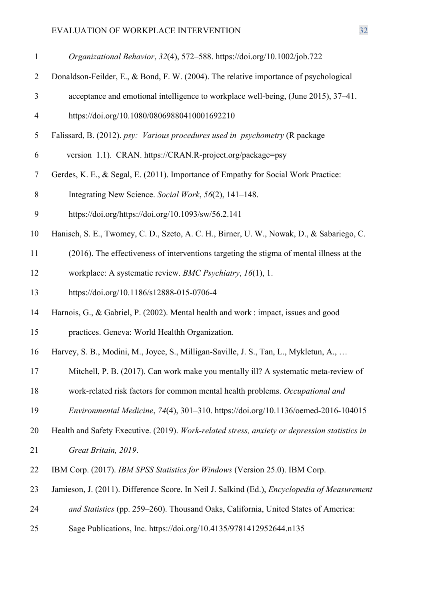| $\mathbf{1}$   | Organizational Behavior, 32(4), 572-588. https://doi.org/10.1002/job.722                            |
|----------------|-----------------------------------------------------------------------------------------------------|
| $\overline{2}$ | Donaldson-Feilder, E., & Bond, F. W. (2004). The relative importance of psychological               |
| 3              | acceptance and emotional intelligence to workplace well-being, (June 2015), 37–41.                  |
| $\overline{4}$ | https://doi.org/10.1080/08069880410001692210                                                        |
| 5              | Falissard, B. (2012). psy: Various procedures used in psychometry (R package                        |
| 6              | version 1.1). CRAN. https://CRAN.R-project.org/package=psy                                          |
| $\tau$         | Gerdes, K. E., & Segal, E. (2011). Importance of Empathy for Social Work Practice:                  |
| 8              | Integrating New Science. Social Work, 56(2), 141–148.                                               |
| 9              | https://doi.org/https://doi.org/10.1093/sw/56.2.141                                                 |
| 10             | Hanisch, S. E., Twomey, C. D., Szeto, A. C. H., Birner, U. W., Nowak, D., & Sabariego, C.           |
| 11             | (2016). The effectiveness of interventions targeting the stigma of mental illness at the            |
| 12             | workplace: A systematic review. BMC Psychiatry, 16(1), 1.                                           |
| 13             | https://doi.org/10.1186/s12888-015-0706-4                                                           |
| 14             | Harnois, G., & Gabriel, P. (2002). Mental health and work : impact, issues and good                 |
| 15             | practices. Geneva: World Healthh Organization.                                                      |
| 16             | Harvey, S. B., Modini, M., Joyce, S., Milligan-Saville, J. S., Tan, L., Mykletun, A.,               |
| 17             | Mitchell, P. B. (2017). Can work make you mentally ill? A systematic meta-review of                 |
| 18             | work-related risk factors for common mental health problems. Occupational and                       |
| 19             | Environmental Medicine, 74(4), 301-310. https://doi.org/10.1136/oemed-2016-104015                   |
| 20             | Health and Safety Executive. (2019). Work-related stress, anxiety or depression statistics in       |
| 21             | Great Britain, 2019.                                                                                |
| 22             | IBM Corp. (2017). IBM SPSS Statistics for Windows (Version 25.0). IBM Corp.                         |
| 23             | Jamieson, J. (2011). Difference Score. In Neil J. Salkind (Ed.), <i>Encyclopedia of Measurement</i> |
| 24             | and Statistics (pp. 259–260). Thousand Oaks, California, United States of America:                  |
| 25             | Sage Publications, Inc. https://doi.org/10.4135/9781412952644.n135                                  |
|                |                                                                                                     |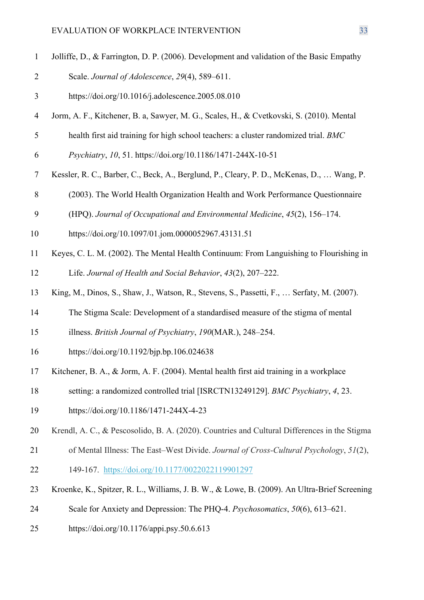- Jolliffe, D., & Farrington, D. P. (2006). Development and validation of the Basic Empathy Scale. *Journal of Adolescence*, *29*(4), 589–611.
- https://doi.org/10.1016/j.adolescence.2005.08.010
- Jorm, A. F., Kitchener, B. a, Sawyer, M. G., Scales, H., & Cvetkovski, S. (2010). Mental
- health first aid training for high school teachers: a cluster randomized trial. *BMC*
- *Psychiatry*, *10*, 51. https://doi.org/10.1186/1471-244X-10-51
- Kessler, R. C., Barber, C., Beck, A., Berglund, P., Cleary, P. D., McKenas, D., … Wang, P.
- (2003). The World Health Organization Health and Work Performance Questionnaire
- (HPQ). *Journal of Occupational and Environmental Medicine*, *45*(2), 156–174.
- https://doi.org/10.1097/01.jom.0000052967.43131.51
- Keyes, C. L. M. (2002). The Mental Health Continuum: From Languishing to Flourishing in

Life. *Journal of Health and Social Behavior*, *43*(2), 207–222.

- King, M., Dinos, S., Shaw, J., Watson, R., Stevens, S., Passetti, F., … Serfaty, M. (2007).
- The Stigma Scale: Development of a standardised measure of the stigma of mental
- illness. *British Journal of Psychiatry*, *190*(MAR.), 248–254.
- https://doi.org/10.1192/bjp.bp.106.024638
- Kitchener, B. A., & Jorm, A. F. (2004). Mental health first aid training in a workplace
- setting: a randomized controlled trial [ISRCTN13249129]. *BMC Psychiatry*, *4*, 23.
- https://doi.org/10.1186/1471-244X-4-23
- Krendl, A. C., & Pescosolido, B. A. (2020). Countries and Cultural Differences in the Stigma
- of Mental Illness: The East–West Divide. *Journal of Cross-Cultural Psychology*, *51*(2), 149-167. https://doi.org/10.1177/0022022119901297
- Kroenke, K., Spitzer, R. L., Williams, J. B. W., & Lowe, B. (2009). An Ultra-Brief Screening
- Scale for Anxiety and Depression: The PHQ-4. *Psychosomatics*, *50*(6), 613–621.
- https://doi.org/10.1176/appi.psy.50.6.613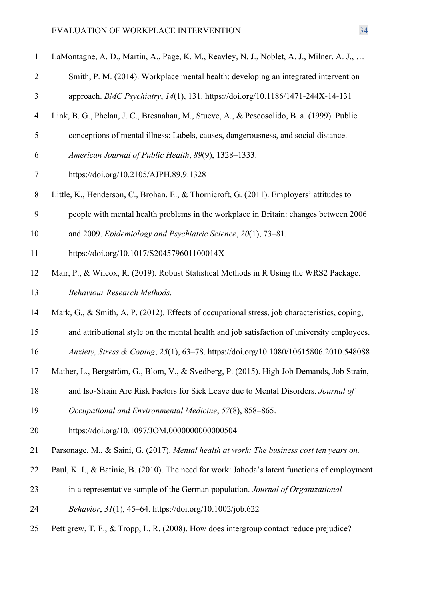| $\mathbf{1}$   | LaMontagne, A. D., Martin, A., Page, K. M., Reavley, N. J., Noblet, A. J., Milner, A. J.,     |
|----------------|-----------------------------------------------------------------------------------------------|
| $\overline{2}$ | Smith, P. M. (2014). Workplace mental health: developing an integrated intervention           |
| 3              | approach. BMC Psychiatry, 14(1), 131. https://doi.org/10.1186/1471-244X-14-131                |
| $\overline{4}$ | Link, B. G., Phelan, J. C., Bresnahan, M., Stueve, A., & Pescosolido, B. a. (1999). Public    |
| 5              | conceptions of mental illness: Labels, causes, dangerousness, and social distance.            |
| 6              | American Journal of Public Health, 89(9), 1328-1333.                                          |
| 7              | https://doi.org/10.2105/AJPH.89.9.1328                                                        |
| 8              | Little, K., Henderson, C., Brohan, E., & Thornicroft, G. (2011). Employers' attitudes to      |
| 9              | people with mental health problems in the workplace in Britain: changes between 2006          |
| 10             | and 2009. Epidemiology and Psychiatric Science, 20(1), 73-81.                                 |
| 11             | https://doi.org/10.1017/S204579601100014X                                                     |
| 12             | Mair, P., & Wilcox, R. (2019). Robust Statistical Methods in R Using the WRS2 Package.        |
| 13             | <b>Behaviour Research Methods.</b>                                                            |
| 14             | Mark, G., & Smith, A. P. (2012). Effects of occupational stress, job characteristics, coping, |
| 15             | and attributional style on the mental health and job satisfaction of university employees.    |
| 16             | Anxiety, Stress & Coping, 25(1), 63-78. https://doi.org/10.1080/10615806.2010.548088          |
| 17             | Mather, L., Bergström, G., Blom, V., & Svedberg, P. (2015). High Job Demands, Job Strain,     |
| 18             | and Iso-Strain Are Risk Factors for Sick Leave due to Mental Disorders. Journal of            |
| 19             | Occupational and Environmental Medicine, 57(8), 858–865.                                      |
| 20             | https://doi.org/10.1097/JOM.0000000000000504                                                  |
| 21             | Parsonage, M., & Saini, G. (2017). Mental health at work: The business cost ten years on.     |
| 22             | Paul, K. I., & Batinic, B. (2010). The need for work: Jahoda's latent functions of employment |
| 23             | in a representative sample of the German population. Journal of Organizational                |
| 24             | Behavior, 31(1), 45–64. https://doi.org/10.1002/job.622                                       |
| 25             | Pettigrew, T. F., & Tropp, L. R. (2008). How does intergroup contact reduce prejudice?        |
|                |                                                                                               |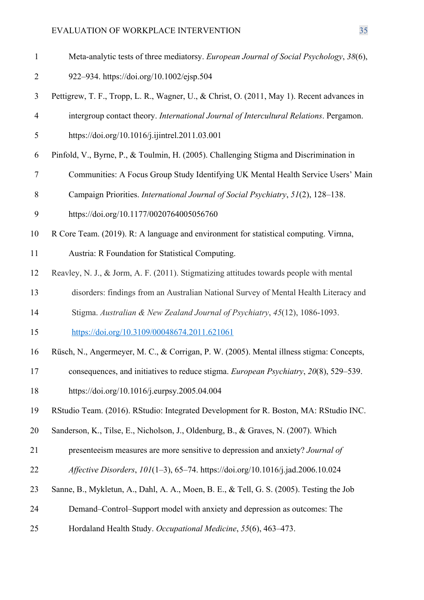- Meta-analytic tests of three mediatorsy. *European Journal of Social Psychology*, *38*(6),
- 922–934. https://doi.org/10.1002/ejsp.504
- Pettigrew, T. F., Tropp, L. R., Wagner, U., & Christ, O. (2011, May 1). Recent advances in
- intergroup contact theory. *International Journal of Intercultural Relations*. Pergamon.
- https://doi.org/10.1016/j.ijintrel.2011.03.001
- Pinfold, V., Byrne, P., & Toulmin, H. (2005). Challenging Stigma and Discrimination in
- Communities: A Focus Group Study Identifying UK Mental Health Service Users' Main
- Campaign Priorities. *International Journal of Social Psychiatry*, *51*(2), 128–138.
- https://doi.org/10.1177/0020764005056760
- R Core Team. (2019). R: A language and environment for statistical computing. Virnna,
- Austria: R Foundation for Statistical Computing.
- Reavley, N. J., & Jorm, A. F. (2011). Stigmatizing attitudes towards people with mental
- disorders: findings from an Australian National Survey of Mental Health Literacy and
- Stigma. *Australian & New Zealand Journal of Psychiatry*, *45*(12), 1086-1093.
- https://doi.org/10.3109/00048674.2011.621061
- Rüsch, N., Angermeyer, M. C., & Corrigan, P. W. (2005). Mental illness stigma: Concepts,
- consequences, and initiatives to reduce stigma. *European Psychiatry*, *20*(8), 529–539.
- https://doi.org/10.1016/j.eurpsy.2005.04.004
- RStudio Team. (2016). RStudio: Integrated Development for R. Boston, MA: RStudio INC.
- Sanderson, K., Tilse, E., Nicholson, J., Oldenburg, B., & Graves, N. (2007). Which
- presenteeism measures are more sensitive to depression and anxiety? *Journal of*
- *Affective Disorders*, *101*(1–3), 65–74. https://doi.org/10.1016/j.jad.2006.10.024
- Sanne, B., Mykletun, A., Dahl, A. A., Moen, B. E., & Tell, G. S. (2005). Testing the Job
- Demand–Control–Support model with anxiety and depression as outcomes: The
- Hordaland Health Study. *Occupational Medicine*, *55*(6), 463–473.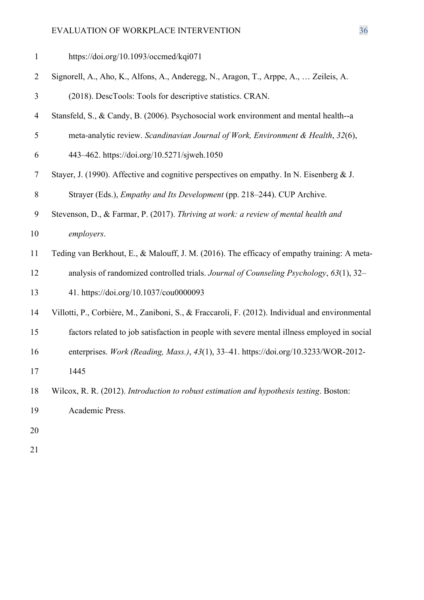https://doi.org/10.1093/occmed/kqi071

Signorell, A., Aho, K., Alfons, A., Anderegg, N., Aragon, T., Arppe, A., … Zeileis, A.

(2018). DescTools: Tools for descriptive statistics. CRAN.

- Stansfeld, S., & Candy, B. (2006). Psychosocial work environment and mental health--a
- meta-analytic review. *Scandinavian Journal of Work, Environment & Health*, *32*(6),
- 443–462. https://doi.org/10.5271/sjweh.1050
- Stayer, J. (1990). Affective and cognitive perspectives on empathy. In N. Eisenberg & J.

Strayer (Eds.), *Empathy and Its Development* (pp. 218–244). CUP Archive.

- Stevenson, D., & Farmar, P. (2017). *Thriving at work: a review of mental health and employers*.
- Teding van Berkhout, E., & Malouff, J. M. (2016). The efficacy of empathy training: A meta-
- analysis of randomized controlled trials. *Journal of Counseling Psychology*, *63*(1), 32–

41. https://doi.org/10.1037/cou0000093

- Villotti, P., Corbière, M., Zaniboni, S., & Fraccaroli, F. (2012). Individual and environmental
- factors related to job satisfaction in people with severe mental illness employed in social
- enterprises. *Work (Reading, Mass.)*, *43*(1), 33–41. https://doi.org/10.3233/WOR-2012-
- 1445
- Wilcox, R. R. (2012). *Introduction to robust estimation and hypothesis testing*. Boston:
- Academic Press.
- 
-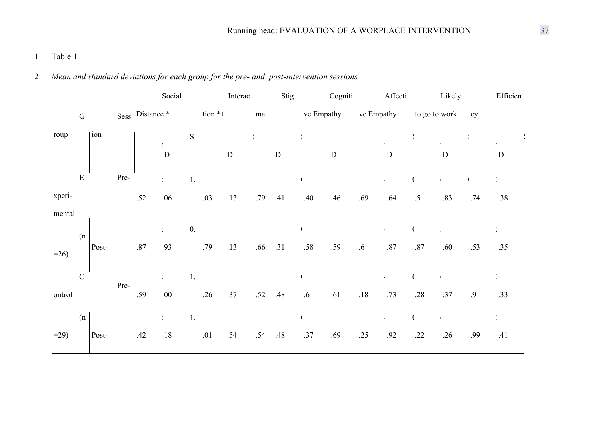# 1 Table 1

# 2 *Mean and standard deviations for each group for the pre- and post-intervention sessions*

|        |                         |       |      |                 | Social                |           |           | Interac   |               | Stig      |                        | Cogniti     |                      | Affecti                     |            | Likely           |     | Efficien             |
|--------|-------------------------|-------|------|-----------------|-----------------------|-----------|-----------|-----------|---------------|-----------|------------------------|-------------|----------------------|-----------------------------|------------|------------------|-----|----------------------|
|        | ${\bf G}$               |       |      | Sess Distance * |                       |           | tion $*+$ |           | $\rm{ma}$     |           |                        | ve Empathy  |                      | ve Empathy                  |            | to go to work    | cy  |                      |
| roup   | ion                     |       |      |                 |                       | ${\bf S}$ |           |           | $\frac{1}{3}$ |           | $\frac{\zeta}{\kappa}$ |             |                      |                             | $\sqrt{2}$ |                  |     |                      |
|        |                         |       |      |                 | $\mathbf D$           |           |           | ${\bf D}$ |               | ${\bf D}$ |                        | $\mathbf D$ |                      | $\mathbf D$                 |            | D                |     | $\mathbf D$          |
|        | $\overline{\mathrm{E}}$ |       | Pre- |                 |                       | 1.        |           |           |               |           |                        |             |                      | $\epsilon$                  |            | $\sqrt{ }$       |     | $\frac{1}{\sqrt{2}}$ |
| xperi- |                         |       |      | .52             | 06                    |           | .03       | .13       | .79           | .41       | .40                    | .46         | .69                  | .64                         | .5         | .83              | .74 | .38                  |
| mental |                         |       |      |                 |                       |           |           |           |               |           |                        |             |                      |                             |            |                  |     |                      |
| $=26$  | (n)                     | Post- |      | $.87\,$         | $\frac{1}{4}$ .<br>93 | 0.        | .79       | .13       | .66           | .31       | .58                    | .59         | $\overline{1}$<br>.6 | $\pmb{\epsilon}$<br>$.87\,$ | $.87\,$    | $\bullet$<br>.60 | .53 | .35                  |
|        | $\mathbf C$             |       | Pre- |                 |                       | 1.        |           |           |               |           |                        |             | $\mathbf{I}$         | $\epsilon$                  |            |                  |     |                      |
| ontrol |                         |       |      | .59             | ${\bf 00}$            |           | .26       | .37       | .52           | .48       | $.6\,$                 | .61         | $.18\,$              | .73                         | .28        | .37              | .9  | .33                  |
|        | (n)                     |       |      |                 | $\frac{1}{4}$ .       | 1.        |           |           |               |           |                        |             | $\mathbf{I}$         | $\pmb{\epsilon}$            |            |                  |     | $\bullet$            |
| $=29$  |                         | Post- |      | .42             | $18\,$                |           | .01       | .54       | .54           | .48       | .37                    | .69         | .25                  | .92                         | .22        | .26              | .99 | .41                  |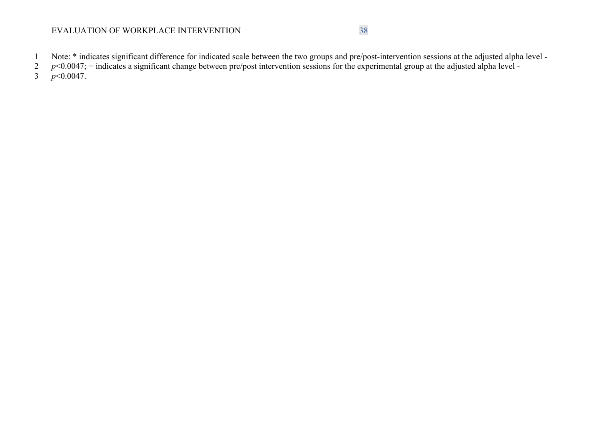- 1 Note: \* indicates significant difference for indicated scale between the two groups and pre/post-intervention sessions at the adjusted alpha level -
- $p$ <0.0047; + indicates a significant change between pre/post intervention sessions for the experimental group at the adjusted alpha level -
- $\frac{1}{2}$  *p*<0.0047.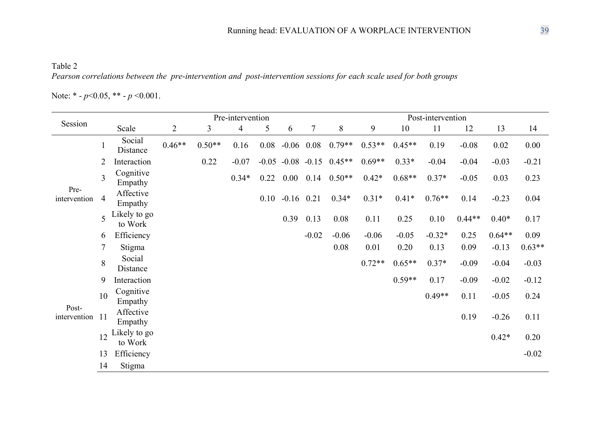Table 2 *Pearson correlations between the pre-intervention and post-intervention sessions for each scale used for both groups*

Note: \* - *p*<0.05, \*\* - *p* <0.001.

|                       |                 |                         |                |          | Pre-intervention |      |                         | Post-intervention |          |          |          |          |          |          |          |
|-----------------------|-----------------|-------------------------|----------------|----------|------------------|------|-------------------------|-------------------|----------|----------|----------|----------|----------|----------|----------|
| Session               |                 | Scale                   | $\overline{2}$ | 3        | $\overline{4}$   | 5    | 6                       | $\tau$            | 8        | 9        | 10       | 11       | 12       | 13       | 14       |
|                       | $\mathbf{1}$    | Social<br>Distance      | $0.46**$       | $0.50**$ | 0.16             | 0.08 | $-0.06$                 | 0.08              | $0.79**$ | $0.53**$ | $0.45**$ | 0.19     | $-0.08$  | 0.02     | 0.00     |
|                       | $\overline{2}$  | Interaction             |                | 0.22     | $-0.07$          |      | $-0.05$ $-0.08$ $-0.15$ |                   | $0.45**$ | $0.69**$ | $0.33*$  | $-0.04$  | $-0.04$  | $-0.03$  | $-0.21$  |
|                       | 3               | Cognitive<br>Empathy    |                |          | $0.34*$          | 0.22 | $0.00\,$                | 0.14              | $0.50**$ | $0.42*$  | $0.68**$ | $0.37*$  | $-0.05$  | 0.03     | 0.23     |
| Pre-<br>intervention  | $\overline{4}$  | Affective<br>Empathy    |                |          |                  | 0.10 | $-0.16$                 | 0.21              | $0.34*$  | $0.31*$  | $0.41*$  | $0.76**$ | 0.14     | $-0.23$  | 0.04     |
|                       | 5               | Likely to go<br>to Work |                |          |                  |      | 0.39                    | 0.13              | 0.08     | 0.11     | 0.25     | 0.10     | $0.44**$ | $0.40*$  | 0.17     |
|                       | 6               | Efficiency              |                |          |                  |      |                         | $-0.02$           | $-0.06$  | $-0.06$  | $-0.05$  | $-0.32*$ | 0.25     | $0.64**$ | 0.09     |
|                       | $7\phantom{.0}$ | Stigma                  |                |          |                  |      |                         |                   | 0.08     | 0.01     | 0.20     | 0.13     | 0.09     | $-0.13$  | $0.63**$ |
|                       | 8               | Social<br>Distance      |                |          |                  |      |                         |                   |          | $0.72**$ | $0.65**$ | $0.37*$  | $-0.09$  | $-0.04$  | $-0.03$  |
|                       | 9               | Interaction             |                |          |                  |      |                         |                   |          |          | $0.59**$ | 0.17     | $-0.09$  | $-0.02$  | $-0.12$  |
|                       | 10              | Cognitive<br>Empathy    |                |          |                  |      |                         |                   |          |          |          | $0.49**$ | 0.11     | $-0.05$  | 0.24     |
| Post-<br>intervention | 11              | Affective<br>Empathy    |                |          |                  |      |                         |                   |          |          |          |          | 0.19     | $-0.26$  | 0.11     |
|                       | 12              | Likely to go<br>to Work |                |          |                  |      |                         |                   |          |          |          |          |          | $0.42*$  | 0.20     |
|                       | 13              | Efficiency              |                |          |                  |      |                         |                   |          |          |          |          |          |          | $-0.02$  |
|                       | 14              | Stigma                  |                |          |                  |      |                         |                   |          |          |          |          |          |          |          |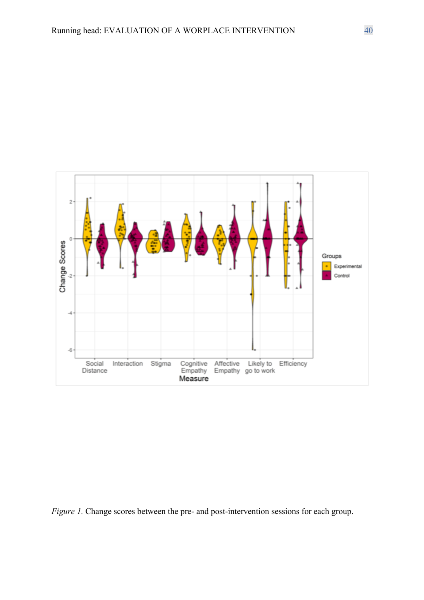

*Figure 1.* Change scores between the pre- and post-intervention sessions for each group.